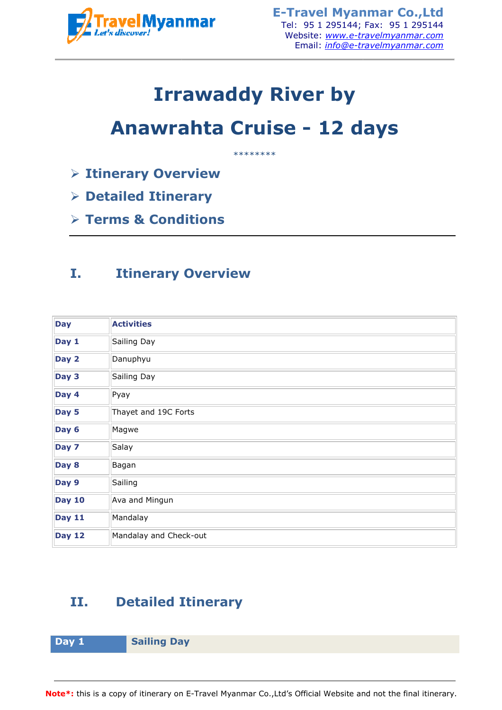

# **Irrawaddy Riv River by**

# **Anawrahta Cruise Cruise - 12 days**

- **Itinerary Overview**
- **Detailed Itinerary**
- **Terms & Conditions**

### **I. Itinerary Overview**

|                                     | TravelMyanmar                                      | <b>E-Travel Myanmar Co., Ltd</b><br>Tel: 95 1 295144; Fax: 95 1 295144<br>Website: www.e-travelmyanmar.com<br>Email: info@e-travelmyanmar.com |
|-------------------------------------|----------------------------------------------------|-----------------------------------------------------------------------------------------------------------------------------------------------|
|                                     |                                                    | <b>Irrawaddy River by</b>                                                                                                                     |
|                                     |                                                    | <b>Anawrahta Cruise - 12 days</b><br>********                                                                                                 |
|                                     | <b>Example 2 Finance Transformation 4 Figure 1</b> |                                                                                                                                               |
| $\triangleright$ Detailed Itinerary |                                                    |                                                                                                                                               |
| $\triangleright$ Terms & Conditions |                                                    |                                                                                                                                               |
|                                     |                                                    |                                                                                                                                               |
| I.                                  | <b>Itinerary Overview</b>                          |                                                                                                                                               |
| <b>Day</b>                          | <b>Activities</b>                                  |                                                                                                                                               |
| Day 1                               | Sailing Day                                        |                                                                                                                                               |
| Day 2                               | Danuphyu                                           |                                                                                                                                               |
| Day 3                               | Sailing Day                                        |                                                                                                                                               |
| Day 4                               | Pyay                                               |                                                                                                                                               |
| Day 5                               | Thayet and 19C Forts                               |                                                                                                                                               |
| Day 6                               | Magwe                                              |                                                                                                                                               |
| Day 7                               | Salay                                              |                                                                                                                                               |
| Day 8                               | Bagan                                              |                                                                                                                                               |
| Day 9                               | Sailing                                            |                                                                                                                                               |
| <b>Day 10</b>                       | Ava and Mingun                                     |                                                                                                                                               |
| <b>Day 11</b>                       | Mandalay                                           |                                                                                                                                               |
| <b>Day 12</b>                       | Mandalay and Check-out                             |                                                                                                                                               |
| II.                                 | <b>Detailed Itinerary</b>                          |                                                                                                                                               |
| Day 1                               | <b>Sailing Day</b>                                 |                                                                                                                                               |
|                                     |                                                    |                                                                                                                                               |
|                                     |                                                    | lote*: this is a copy of itinerary on E-Travel Myanmar Co.,Ltd's Official Website and not the final itinerary.                                |

## **II. Detailed Itinerary**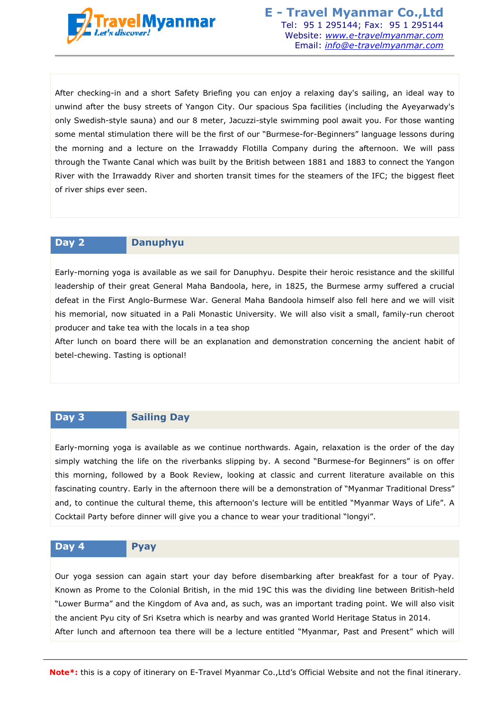

After checking-in and a short Safety Briefing you can enjoy a relaxing day's sailing, an ideal way to unwind after the busy streets of Yangon City. Our spacious Spa facilities (including the Ayeyarwady's only Swedish-style sauna) and our 8 meter, Jacuzzi-style swimming pool await you. For those wanting some mental stimulation there will be the first of our "Burmese-for-Beginners" language lessons during the morning and a lecture on the Irrawaddy Flotilla Company during the afternoon. We will pass through the Twante Canal which was built by the British between 1881 and 1883 to connect the Yangon River with the Irrawaddy River and shorten transit times for the steamers of the IFC; the biggest fleet of river ships ever seen. Tel: 95 1 2951446; Fax: 95 1 2951446; Fax: 95 1 2951446; Fax: 95 1 2951446; Fax: 95 12951446; Website: <u>www.e-travelmyanmar.com</u><br>
Email: *into@e-travelmyanmar.com*<br>
Breling you can engly a relaxing day's sailing, an ideal Beginners" language lessons during<br>uring the afternoon. We will pass<br>81 and 1883 to connect the Yangon<br>eamers of the IFC; the biggest fleet<br>eamers of the IFC; the biggest fleet<br>eir heroic resistance and the skillful<br>ne Bur

#### **Day 2 Danuphyu**

Early-morning yoga is available as we sail for Danuphyu. Despite their heroic resistance and the skillful leadership of their great General Maha Bandoola, here, in 1825, the Burmese army suffered a crucial defeat in the First Anglo-Burmese War. General Maha Bandoola himself also fell her his memorial, now situated in a Pali Monastic University. We will also visit a small, family family-run cheroot producer and take tea with the locals in a tea shop is the Twante Canal which was built by the British between 1881 and 1883 to connect the Yangon<br>
with the Irrawaddy River and shorten transit times for the steamers of the IFC; the biggest fleet<br>
re ships ever seen.<br> **Danup** 

After lunch on board there will be an explanation and demonstration concerning the ancient habit of betel-chewing. Tasting is optional!

#### **Day 3 Sailing Day**

Early-morning yoga is available as we continue northwards. Again, relaxation is the order of the day simply watching the life on the riverbanks slipping by. A second "Burmese-for Beginners" is on offer this morning, followed by a Book Review, looking at classic and current literature available on this fascinating country. Early in the afternoon there will be a demonstration of "Myanmar Traditional Dress" and, to continue the cultural theme, this afternoon's lecture will be entitled "Myanmar Ways of Life". A Cocktail Party before dinner will give you a chance to wear your traditional "longyi". and, to continue the cultural theme, this afternoon's lecture will be entitled "Myanmar Ways of Life". A<br>Cocktail Party before dinner will give you a chance to wear your traditional "longyi".<br>Day 4 Pyay for Beginners" is on offer<br>terature available on this<br>yanmar Traditional Dress"<br>Myanmar Ways of Life". A<br>ngyi".<br>kfast for a tour of Pyay.<br>line between British-held

#### **Day 4 Pyay**

Known as Prome to the Colonial British, in the mid 19C this was the dividing line between British-held "Lower Burma" and the Kingdom of Ava and, as such, was an important trading point. We will also visit the ancient Pyu city of Sri Ksetra which is nearby and was granted World Heritage Status in 2014. After lunch and afternoon tea there will be a lecture entitled "Myanmar, Past and Present" which will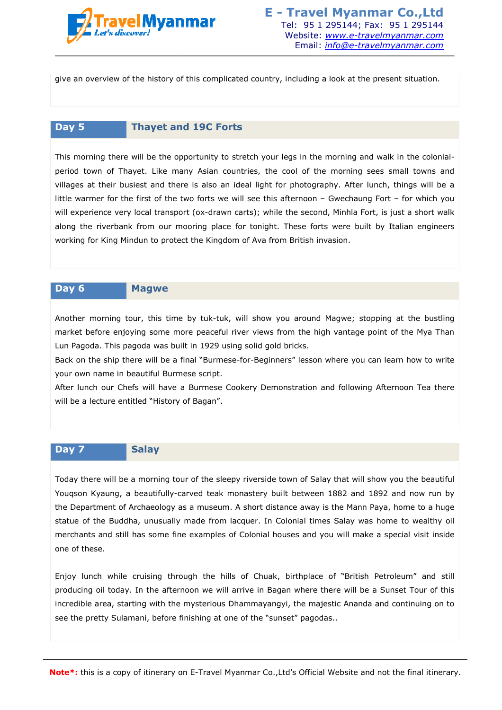

give an overview of the history of this complicated country, including a look at the present situation situation.

#### **Day 5 Thayet and 19C Forts**

This morning there will be the opportunity to stretch your legs in the morning and walk in the colonialperiod town of Thayet. Like many Asian countries, the cool of the morning sees small towns and villages at their busiest and there is also an ideal light for photography. After lunch, things will be a little warmer for the first of the two forts we will see this afternoon – Gwechaung Fort – for which you will experience very local transport (ox-drawn carts); while the second, Minhla Fort, is just a short walk along the riverbank from our mooring place for tonight. These forts were built by Italian engineers working for King Mindun to protect the Kingdom of Ava from British invasion invasion. Tel: 95 1 2951444; Fax: 95 1 295144; Fax: 95 1 295144; Fax: 95 1 295144; Fax: 95 1 295144; Faxe immultioned complicated country, including a look at the present situation.<br>
Email: *info@e-travelmyanmar.com*<br>
complicated c

#### **Day 6 Magwe**

Another morning tour, this time by tuk-tuk, will show you around Magwe; stopping at the bustling market before enjoying some more peaceful river views from the high vantage point of the Mya Than Lun Pagoda. This pagoda was built in 1929 using solid gold bricks. drawn carts); while the second, Minhla Fort, is just a short walk<br>place for tonight. These forts were built by Italian engineers<br>Kingdom of Ava from British invasion.<br>K-tuk, will show you around Magwe; stopping at the bust

Back on the ship there will be a final "Burmese-for-Beginners" lesson where you can learn how to write your own name in beautiful Burmese script.

After lunch our Chefs will have a Burmese Cookery Demonstration and following Afternoon Tea there will be a lecture entitled "History of Bagan".

#### **Day 7 Salay**

Today there will be a morning tour of the sleepy riverside town of Salay that will show you the beautiful Youqson Kyaung, a beautifully-carved teak monastery built between 1882 and 1892 1892 and now run by the Department of Archaeology as a museum. A short distance away is the Mann Paya, home to a huge statue of the Buddha, unusually made from lacquer. In Colonial times Salay was home to wealthy oil merchants and still has some fine examples of Colonial houses and you will make a special visit inside one of these. carved teak monastery built between 1882 and 1892 and now run by<br>as a museum. A short distance away is the Mann Paya, home to a huge<br>y made from lacquer. In Colonial times Salay was home to wealthy oil<br>ne examples of Colon

Enjoy lunch while cruising through the hills of Chuak, birthplace of "British Petroleum" and still producing oil today. In the afternoon we will arrive in Bagan where there will be a Sunset Tour of this incredible area, starting with the mysterious Dhammayangyi, the majestic Ananda and continuing on to see the pretty Sulamani, before finishing at one of the "sunset" pagodas. pagodas..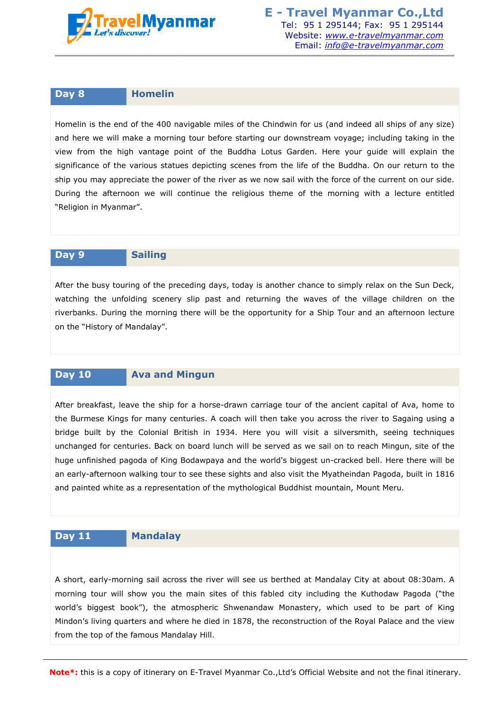

**E - Travel Myanmar Co.,Ltd** Tel: 95 1 295144; Fax: Website: *www.e-travelmyanmar.com* ebsite: <u>*www.e-travelmyanmar.com</u><br>Email: <u><i>info@e-travelmyanmar.com*</u></u>

#### **Day 8 Homelin**

Homelin is the end of the 400 navigable miles of the Chindwin for us (and indeed all ships of any size) and here we will make a morning tour before starting our downstream voyage; including taking in the view from the high vantage point of the Buddha Lotus Garden. Here your guide will explain the significance of the various statues depicting scenes from the life of the Buddha. On our return to the ship you may appreciate the power of the river as we now sail with the force of the current on our side. During the afternoon we will continue the religious theme of the morning with a lecture entitled "Religion in Myanmar".

#### **Day 9 Sailing**

After the busy touring of the preceding days, today is another chance to simply relax on the Sun Deck, watching the unfolding scenery slip past and returning the waves of the village children on the riverbanks. During the morning there will be the opportunity for a Ship Tour and an afternoon lecture on the "History of Mandalay".

#### **Day 10 Ava and Mingun**

After breakfast, leave the ship for a horse-drawn carriage tour of the ancient capital of Ava, home to the Burmese Kings for many centuries. A coach will then take you across the river to Sagaing using a bridge built by the Colonial British in 1934. Here you will visit a silversmith, seeing techniques unchanged for centuries. Back on board lunch will be served as we sail on to reach Mingun, site of the huge unfinished pagoda of King Bodawpaya and the world's biggest un-cracked bell. Here there will be an early-afternoon walking tour to see these sights and also visit the Myatheindan Pagoda, built in 1816 an early-afternoon walking tour to see these sights and also visit the Myatheindan Pagoda<br>and painted white as a representation of the mythological Buddhist mountain, Mount Meru Travel 95 1 295144 e the religious theme of the morning with a lect<br>days, today is another chance to simply relax on th<br>past and returning the waves of the village child<br>will be the opportunity for a Ship Tour and an after<br>will be the opport

#### **Day 11 Mandalay**

A short, early-morning sail across the river will see us berthed at Mandalay City at about 08:30am. A morning tour will show you the main sites of this fabled city including the Kuthodaw Pagoda ("the world's biggest book"), the atmospheric Shwenandaw Monastery, which used to be part of King Mindon's living quarters and where he died in 1878, the reconstruction of the Royal Palace and the view from the top of the famous Mandalay Hill.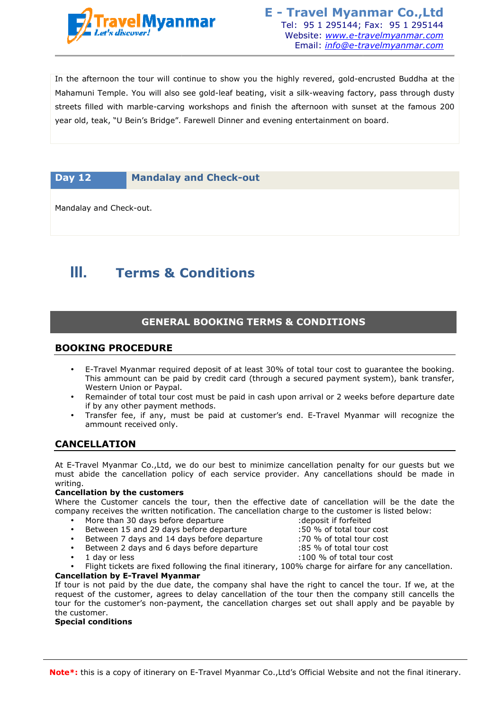

In the afternoon the tour will continue to show you the highly revered, gold gold-encrusted Buddha at the Mahamuni Temple. You will also see gold-leaf beating, visit a silk-weaving factory, pass through dusty streets filled with marble-carving workshops and finish the afternoon with sunset at the famous 200 streets filled with marble-carving workshops and finish the afternoon with sunset a<br>year old, teak, "U Bein's Bridge". Farewell Dinner and evening entertainment on board **Train the main of the sympaths of the sympaths of the sympaths and the sympaths of the sympaths of the sympaths of the sympaths of the sympaths of the sympaths of the sympaths of the sympaths of the sympaths of the sympa** vered, gold-encrusted<br>weaving factory, pass<br>noon with sunset at th<br>rtainment on board.

#### **Day 12 Mandalay and Check-out**

Mandalay and Check-out.

## **III. Terms & Conditions**

### **GENERAL BOOKING TERMS & CONDITIONS**

#### **BOOKING PROCEDURE**

- E-Travel Myanmar required deposit of at least 30% of total tour cost to guarantee the booking. This ammount can be paid by credit card (through a secured payment system), bank transfer, Western Union or Paypal. Travel Myanmar required deposit of at least 30% of total tour cost to guarantee the booking.<br>iis ammount can be paid by credit card (through a secured payment system), bank transfer,<br>estern Union or Paypal.<br>:mainder of tot
- Remainder of total tour cost must be paid in cash upon arrival or 2 weeks before departure date if by any other payment methods.
- Transfer fee, if any, must be paid at customer's end. E-Travel Myanmar will recognize the ammount received only.

#### **CANCELLATION**

At E-Travel Myanmar Co.,Ltd, we do our best to minimize cancellation penalty for our guests but we At E-Travel Myanmar Co.,Ltd, we do our best to minimize cancellation penalty for our guests but we<br>must abide the cancellation policy of each service provider. Any cancellations should be made in writing. E-Travel<br>ellation p<br>Any cance<br>e to the cu<br>eposit if f<br>0 % of to<br>0 % of to

#### **Cancellation by the customers**

Where the Customer cancels the tour, then the effective date of cancellation will be the date the company receives the written notification. The cancellation charge to the customer is listed below: : deposit if forfeited

> :50 % of total tour cost :70 % of total tour cost :85 % of total tour cost

- More than 30 days before departure
- Between 15 and 29 days before departure
- Between 7 days and 14 days before departure
- Between 2 days and 6 days before departure
- 1 day or less
	- Flight tickets are fixed following the final itinerary, 100% charge for airfare for any cancellation. :100 % of total tour cost
- **Cancellation by E-Travel Myanmar Travel**

If tour is not paid by the due date, the company shal have the right to cancel the tour. If we, at the request of the customer, agrees to delay cancellation of the tour then the company still cancells the If tour is not paid by the due date, the company shal have the right to cancel the tour. If we, at the<br>request of the customer, agrees to delay cancellation of the tour then the company still cancells the<br>tour for the cust the customer.

#### **Special conditions**